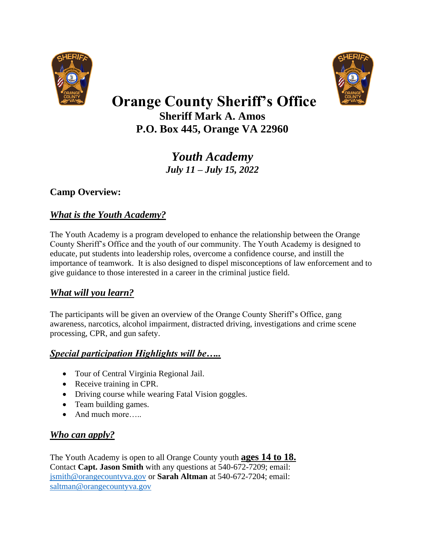



# **Orange County Sheriff's Office**

**Sheriff Mark A. Amos P.O. Box 445, Orange VA 22960**

> *Youth Academy July 11 – July 15, 2022*

#### **Camp Overview:**

#### *What is the Youth Academy?*

The Youth Academy is a program developed to enhance the relationship between the Orange County Sheriff's Office and the youth of our community. The Youth Academy is designed to educate, put students into leadership roles, overcome a confidence course, and instill the importance of teamwork. It is also designed to dispel misconceptions of law enforcement and to give guidance to those interested in a career in the criminal justice field.

#### *What will you learn?*

The participants will be given an overview of the Orange County Sheriff's Office, gang awareness, narcotics, alcohol impairment, distracted driving, investigations and crime scene processing, CPR, and gun safety.

#### *Special participation Highlights will be…..*

- Tour of Central Virginia Regional Jail.
- Receive training in CPR.
- Driving course while wearing Fatal Vision goggles.
- Team building games.
- And much more…..

#### *Who can apply?*

The Youth Academy is open to all Orange County youth **ages 14 to 18.** Contact **Capt. Jason Smith** with any questions at 540-672-7209; email: [jsmith@orangecountyva.gov](mailto:jsmith@orangecountyva.gov) or **Sarah Altman** at 540-672-7204; email: [saltman@orangecountyva.gov](mailto:saltman@orangecountyva.gov)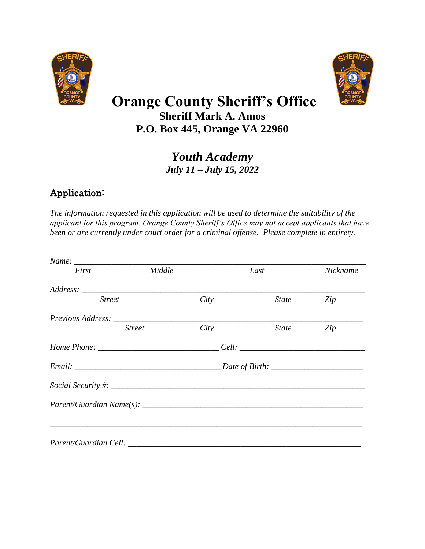



## **Orange County Sheriff's Office Sheriff Mark A. Amos**

**P.O. Box 445, Orange VA 22960**

*Youth Academy July 11 – July 15, 2022*

### Application:

*The information requested in this application will be used to determine the suitability of the applicant for this program. Orange County Sheriff's Office may not accept applicants that have been or are currently under court order for a criminal offense. Please complete in entirety.* 

| First         | Middle        |      | Last         | Nickname |
|---------------|---------------|------|--------------|----------|
|               |               |      |              |          |
| <b>Street</b> |               | City | <i>State</i> | Zip      |
|               |               |      |              |          |
|               | <b>Street</b> | City | State        | Zip      |
|               |               |      |              |          |
|               |               |      |              |          |
|               |               |      |              |          |
|               |               |      |              |          |
|               |               |      |              |          |
|               |               |      |              |          |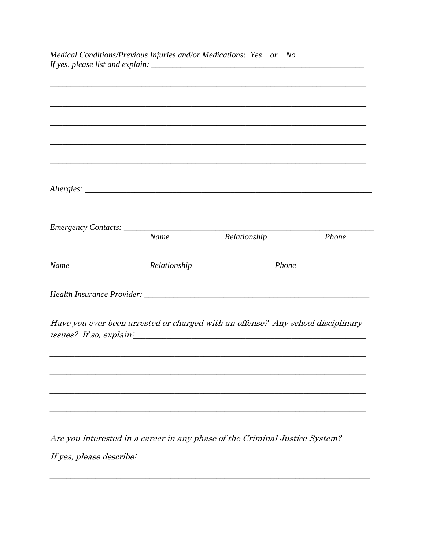|      |              | Have you ever been arrested or charged with an offense? Any school disciplinary<br>issues? If so, explain: example and the set of the set of the set of the set of the set of the set of the set o<br><u> 1989 - Johann Harry Harry Harry Harry Harry Harry Harry Harry Harry Harry Harry Harry Harry Harry Harry Harry</u> |       |
|------|--------------|-----------------------------------------------------------------------------------------------------------------------------------------------------------------------------------------------------------------------------------------------------------------------------------------------------------------------------|-------|
|      |              |                                                                                                                                                                                                                                                                                                                             |       |
|      |              |                                                                                                                                                                                                                                                                                                                             |       |
| Name | Relationship | Phone                                                                                                                                                                                                                                                                                                                       |       |
|      | <b>Name</b>  | Relationship                                                                                                                                                                                                                                                                                                                | Phone |
|      |              |                                                                                                                                                                                                                                                                                                                             |       |
|      |              |                                                                                                                                                                                                                                                                                                                             |       |
|      |              | ,我们也不能在这里的人,我们也不能在这里的人,我们也不能不能不能不能不能不能不能不能不能不能不能不能不能不能。""我们的人,我们也不能不能不能不能不能不能不能不能                                                                                                                                                                                                                                           |       |
|      |              |                                                                                                                                                                                                                                                                                                                             |       |